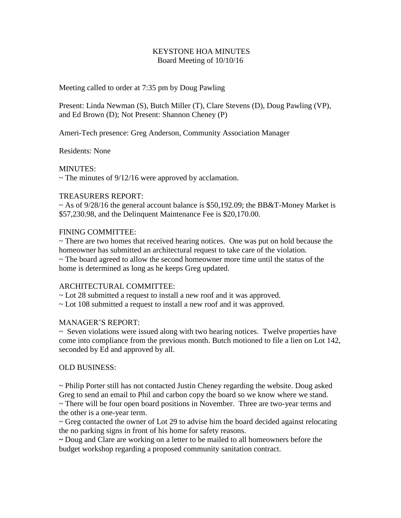#### KEYSTONE HOA MINUTES Board Meeting of 10/10/16

Meeting called to order at 7:35 pm by Doug Pawling

Present: Linda Newman (S), Butch Miller (T), Clare Stevens (D), Doug Pawling (VP), and Ed Brown (D); Not Present: Shannon Cheney (P)

Ameri-Tech presence: Greg Anderson, Community Association Manager

Residents: None

MINUTES:

 $\sim$  The minutes of 9/12/16 were approved by acclamation.

#### TREASURERS REPORT:

 $\sim$  As of 9/28/16 the general account balance is \$50,192.09; the BB&T-Money Market is \$57,230.98, and the Delinquent Maintenance Fee is \$20,170.00.

# FINING COMMITTEE:

 $\sim$  There are two homes that received hearing notices. One was put on hold because the homeowner has submitted an architectural request to take care of the violation.

~ The board agreed to allow the second homeowner more time until the status of the home is determined as long as he keeps Greg updated.

# ARCHITECTURAL COMMITTEE:

~ Lot 28 submitted a request to install a new roof and it was approved.

~ Lot 108 submitted a request to install a new roof and it was approved.

# MANAGER'S REPORT:

 $\sim$  Seven violations were issued along with two hearing notices. Twelve properties have come into compliance from the previous month. Butch motioned to file a lien on Lot 142, seconded by Ed and approved by all.

# OLD BUSINESS:

~ Philip Porter still has not contacted Justin Cheney regarding the website. Doug asked Greg to send an email to Phil and carbon copy the board so we know where we stand. ~ There will be four open board positions in November. Three are two-year terms and

the other is a one-year term.

 $\sim$  Greg contacted the owner of Lot 29 to advise him the board decided against relocating the no parking signs in front of his home for safety reasons.

**~** Doug and Clare are working on a letter to be mailed to all homeowners before the budget workshop regarding a proposed community sanitation contract.